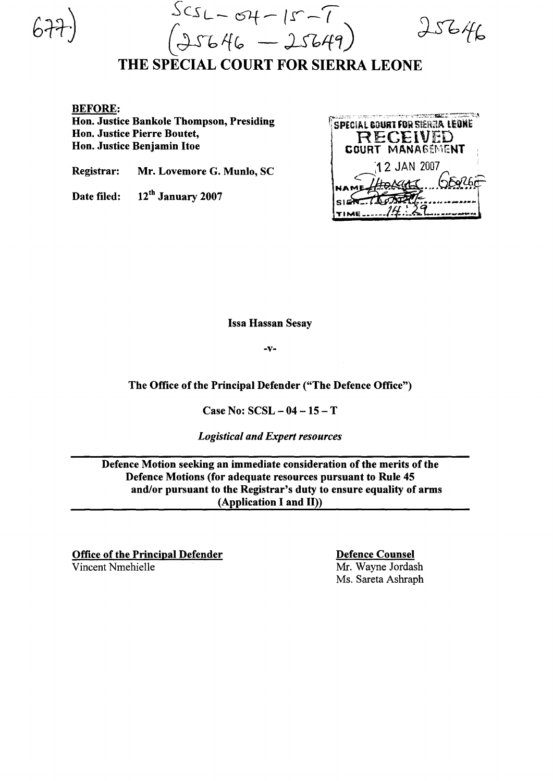$s_{CSL} - s_{H} - 15 - 7$  $(J5646 - J5649)$  do  $646$ 

# THE SPECIAL COURT FOR SIERRA LEONE

#### BEFORE:

Hon. Justice Bankole Thompson, Presiding Hon. Justice Pierre Boutet, Hon. Justice Benjamin Itoe

Registrar: Mr. Lovemore G. Munlo, SC

Date filed: 12<sup>th</sup> January 2007



Issa Hassan Sesay

-v-

The Office of the Principal Defender ("The Defence Office")

Case No: SCSL - 04 - 15 - T

*Logistical and Expert resources*

Defence Motion seeking an immediate consideration of the merits of the Defence Motions (for adequate resources pursuant to Rule 45 and/or pursuant to the Registrar's duty to ensure equality of arms (Application I and II»

Office of the Principal Defender Vincent Nmehielle

Defence Counsel Mr. Wayne Jordash Ms. Sareta Ashraph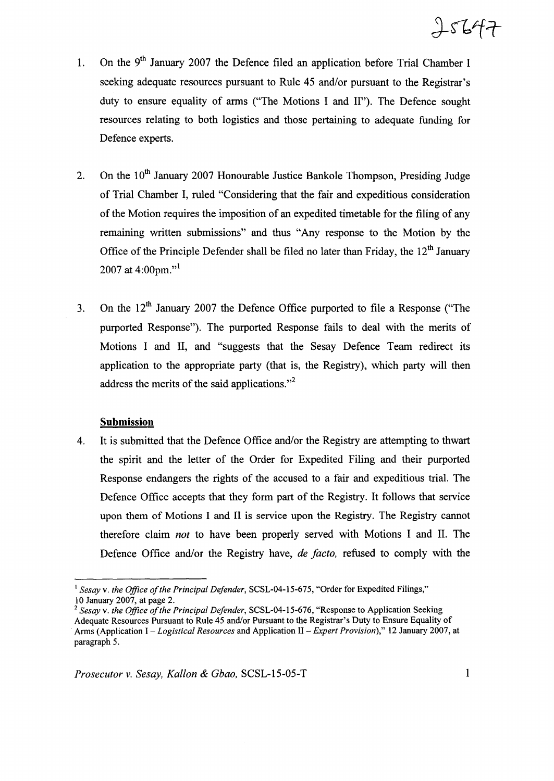$J564.$ 

- 1. On the 9<sup>th</sup> January 2007 the Defence filed an application before Trial Chamber I seeking adequate resources pursuant to Rule 45 and/or pursuant to the Registrar's duty to ensure equality of arms ("The Motions I and II"). The Defence sought resources relating to both logistics and those pertaining to adequate funding for Defence experts.
- 2. On the  $10^{th}$  January 2007 Honourable Justice Bankole Thompson, Presiding Judge of Trial Chamber I, ruled "Considering that the fair and expeditious consideration of the Motion requires the imposition of an expedited timetable for the filing of any remaining written submissions" and thus "Any response to the Motion by the Office of the Principle Defender shall be filed no later than Friday, the  $12<sup>th</sup>$  January 2007 at 4:00pm."
- 3. On the  $12<sup>th</sup>$  January 2007 the Defence Office purported to file a Response ("The purported Response"). The purported Response fails to deal with the merits of Motions I and II, and "suggests that the Sesay Defence Team redirect its application to the appropriate party (that is, the Registry), which party will then address the merits of the said applications. $^{32}$

## **Submission**

4. It is submitted that the Defence Office and/or the Registry are attempting to thwart the spirit and the letter of the Order for Expedited Filing and their purported Response endangers the rights of the accused to a fair and expeditious trial. The Defence Office accepts that they form part of the Registry. It follows that service upon them of Motions I and II is service upon the Registry. The Registry cannot therefore claim *not* to have been properly served with Motions I and II. The Defence Office and/or the Registry have, *de facto,* refused to comply with the

<sup>&</sup>lt;sup>1</sup> Sesay v. the Office of the Principal Defender, SCSL-04-15-675, "Order for Expedited Filings," 10 January 2007, at page 2.

<sup>&</sup>lt;sup>2</sup> *Sesay* v. *the Office of the Principal Defender*, SCSL-04-15-676, "Response to Application Seeking Adequate Resources Pursuant to Rule 45 and/or Pursuant to the Registrar's Duty to Ensure Equality of Arms (Application I - *Logistical Resources* and Application II - *Expert Provision),"* 12 January 2007, at paragraph 5.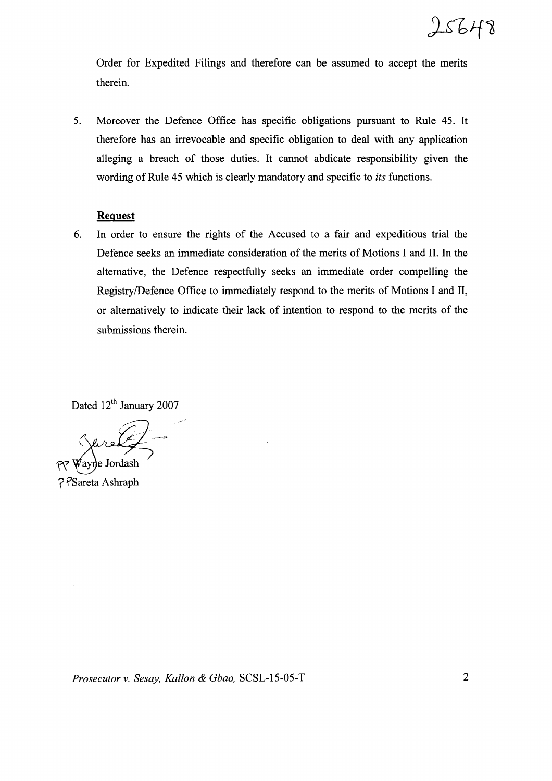

Order for Expedited Filings and therefore can be assumed to accept the merits therein.

5. Moreover the Defence Office has specific obligations pursuant to Rule 45. It therefore has an irrevocable and specific obligation to deal with any application alleging a breach of those duties. It cannot abdicate responsibility given the wording of Rule 45 which is clearly mandatory and specific to *its* functions.

# **Request**

6. In order to ensure the rights of the Accused to a fair and expeditious trial the Defence seeks an immediate consideration of the merits of Motions I and II. In the alternative, the Defence respectfully seeks an immediate order compelling the Registry/Defence Office to immediately respond to the merits of Motions I and II, or alternatively to indicate their lack of intention to respond to the merits of the submissions therein.

Dated 12<sup>th</sup> January 2007

./.

 $\ell$  $\ell$ ayne Jordash

**?** *PSareta Ashraph* 

*Prosecutor* v. *Sesay, Kallon* & *Gbao,* SCSL-15-05-T 2